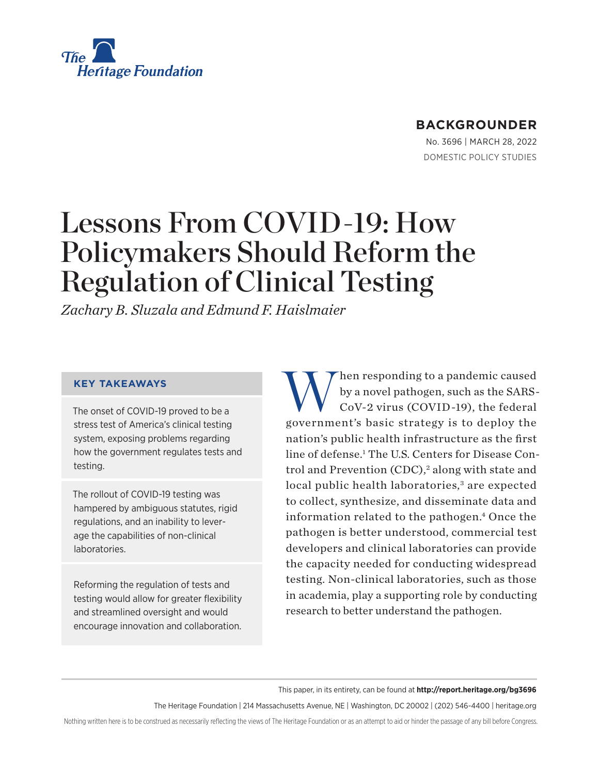<span id="page-0-0"></span>

# **BACKGROUNDER**

No. 3696 | March 28, 2022 DOMESTIC POLICY STUDIES

# Lessons From COVID-19: How Policymakers Should Reform the Regulation of Clinical Testing

*Zachary B. Sluzala and Edmund F. Haislmaier*

### **KEY TAKEAWAYS**

The onset of COVID-19 proved to be a stress test of America's clinical testing system, exposing problems regarding how the government regulates tests and testing.

The rollout of COVID-19 testing was hampered by ambiguous statutes, rigid regulations, and an inability to leverage the capabilities of non-clinical laboratories.

Reforming the regulation of tests and testing would allow for greater flexibility and streamlined oversight and would encourage innovation and collaboration.

When responding to a pandemic caused<br>by a novel pathogen, such as the SARS-<br>CoV-2 virus (COVID-19), the federal by a novel pathogen, such as the SARS-CoV-2 virus (COVID -19), the federal government's basic strategy is to deploy the nation's public health infrastructure as the first line of defense.[1](#page-21-0) The U.S. Centers for Disease Con-trol and Prevention (CDC),<sup>[2](#page-21-0)</sup> along with state and local public health laboratories,<sup>[3](#page-21-0)</sup> are expected to collect, synthesize, and disseminate data and information related to the pathogen.<sup>4</sup> Once the pathogen is better understood, commercial test developers and clinical laboratories can provide the capacity needed for conducting widespread testing. Non-clinical laboratories, such as those in academia, play a supporting role by conducting research to better understand the pathogen.

This paper, in its entirety, can be found at **http://report.heritage.org/bg3696**

The Heritage Foundation | 214 Massachusetts Avenue, NE | Washington, DC 20002 | (202) 546-4400 | [heritage.org](https://www.hhs.gov/about/news/2018/09/24/statement-from-the-department-of-health-and-human-services.html)

Nothing written here is to be construed as necessarily reflecting the views of The Heritage Foundation or as an attempt to aid or hinder the passage of any bill before Congress.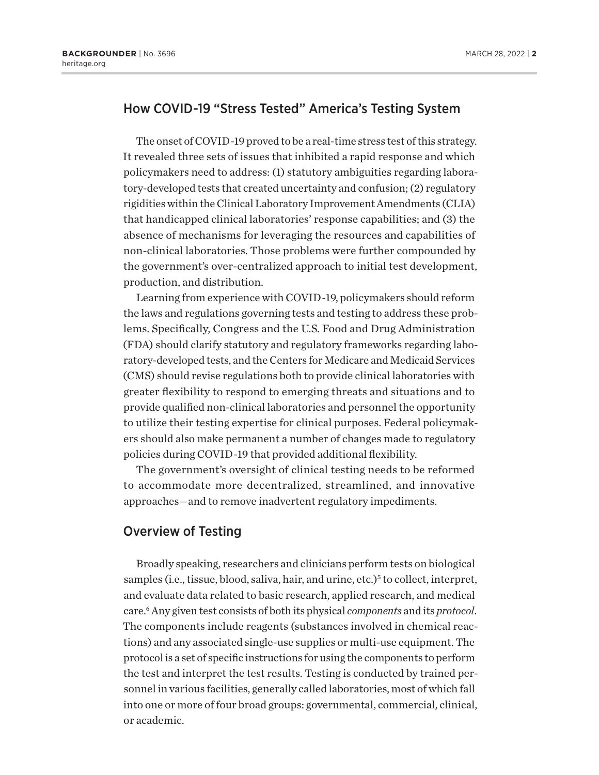# <span id="page-1-0"></span>How COVID-19 "Stress Tested" America's Testing System

The onset of COVID-19 proved to be a real-time stress test of this strategy. It revealed three sets of issues that inhibited a rapid response and which policymakers need to address: (1) statutory ambiguities regarding laboratory-developed tests that created uncertainty and confusion; (2) regulatory rigidities within the Clinical Laboratory Improvement Amendments (CLIA) that handicapped clinical laboratories' response capabilities; and (3) the absence of mechanisms for leveraging the resources and capabilities of non-clinical laboratories. Those problems were further compounded by the government's over-centralized approach to initial test development, production, and distribution.

Learning from experience with COVID-19, policymakers should reform the laws and regulations governing tests and testing to address these problems. Specifically, Congress and the U.S. Food and Drug Administration (FDA) should clarify statutory and regulatory frameworks regarding laboratory-developed tests, and the Centers for Medicare and Medicaid Services (CMS) should revise regulations both to provide clinical laboratories with greater flexibility to respond to emerging threats and situations and to provide qualified non-clinical laboratories and personnel the opportunity to utilize their testing expertise for clinical purposes. Federal policymakers should also make permanent a number of changes made to regulatory policies during COVID-19 that provided additional flexibility.

The government's oversight of clinical testing needs to be reformed to accommodate more decentralized, streamlined, and innovative approaches—and to remove inadvertent regulatory impediments.

### Overview of Testing

Broadly speaking, researchers and clinicians perform tests on biological samples (i.e., tissue, blood, saliva, hair, and urine, etc.)<sup>[5](#page-21-0)</sup> to collect, interpret, and evaluate data related to basic research, applied research, and medical care[.6](#page-21-0) Any given test consists of both its physical *components* and its *protocol*. The components include reagents (substances involved in chemical reactions) and any associated single-use supplies or multi-use equipment. The protocol is a set of specific instructions for using the components to perform the test and interpret the test results. Testing is conducted by trained personnel in various facilities, generally called laboratories, most of which fall into one or more of four broad groups: governmental, commercial, clinical, or academic.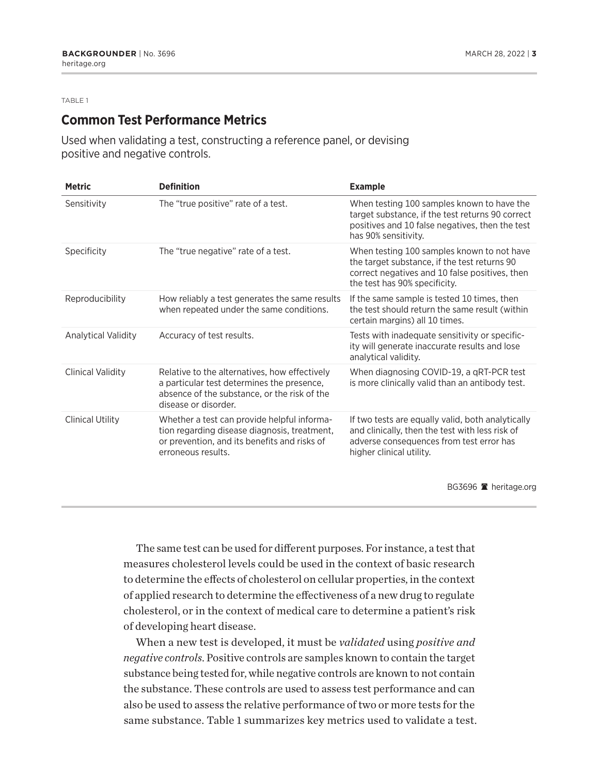#### TABLE 1

### **Common Test Performance Metrics**

Used when validating a test, constructing a reference panel, or devising positive and negative controls.

| <b>Metric</b>              | <b>Definition</b>                                                                                                                                                   | <b>Example</b>                                                                                                                                                                |
|----------------------------|---------------------------------------------------------------------------------------------------------------------------------------------------------------------|-------------------------------------------------------------------------------------------------------------------------------------------------------------------------------|
| Sensitivity                | The "true positive" rate of a test.                                                                                                                                 | When testing 100 samples known to have the<br>target substance, if the test returns 90 correct<br>positives and 10 false negatives, then the test<br>has 90% sensitivity.     |
| Specificity                | The "true negative" rate of a test.                                                                                                                                 | When testing 100 samples known to not have<br>the target substance, if the test returns 90<br>correct negatives and 10 false positives, then<br>the test has 90% specificity. |
| Reproducibility            | How reliably a test generates the same results<br>when repeated under the same conditions.                                                                          | If the same sample is tested 10 times, then<br>the test should return the same result (within<br>certain margins) all 10 times.                                               |
| <b>Analytical Validity</b> | Accuracy of test results.                                                                                                                                           | Tests with inadequate sensitivity or specific-<br>ity will generate inaccurate results and lose<br>analytical validity.                                                       |
| <b>Clinical Validity</b>   | Relative to the alternatives, how effectively<br>a particular test determines the presence,<br>absence of the substance, or the risk of the<br>disease or disorder. | When diagnosing COVID-19, a qRT-PCR test<br>is more clinically valid than an antibody test.                                                                                   |
| <b>Clinical Utility</b>    | Whether a test can provide helpful informa-<br>tion regarding disease diagnosis, treatment,<br>or prevention, and its benefits and risks of<br>erroneous results.   | If two tests are equally valid, both analytically<br>and clinically, then the test with less risk of<br>adverse consequences from test error has<br>higher clinical utility.  |
|                            |                                                                                                                                                                     | BG3696 $\blacksquare$ heritage.org                                                                                                                                            |

The same test can be used for different purposes. For instance, a test that measures cholesterol levels could be used in the context of basic research to determine the effects of cholesterol on cellular properties, in the context of applied research to determine the effectiveness of a new drug to regulate cholesterol, or in the context of medical care to determine a patient's risk of developing heart disease.

When a new test is developed, it must be *validated* using *positive and negative controls*. Positive controls are samples known to contain the target substance being tested for, while negative controls are known to not contain the substance. These controls are used to assess test performance and can also be used to assess the relative performance of two or more tests for the same substance. Table 1 summarizes key metrics used to validate a test.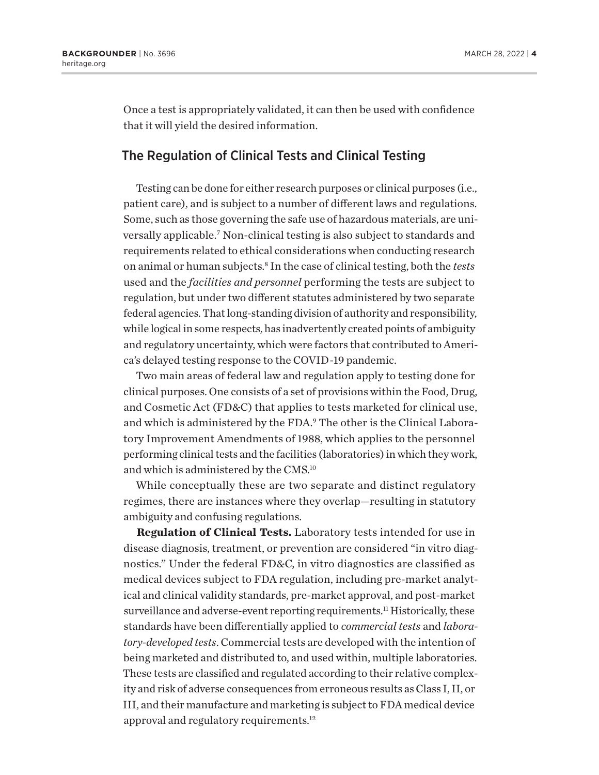<span id="page-3-0"></span>Once a test is appropriately validated, it can then be used with confidence that it will yield the desired information.

### The Regulation of Clinical Tests and Clinical Testing

Testing can be done for either research purposes or clinical purposes (i.e., patient care), and is subject to a number of different laws and regulations. Some, such as those governing the safe use of hazardous materials, are uni-versally applicable.<sup>[7](#page-21-0)</sup> Non-clinical testing is also subject to standards and requirements related to ethical considerations when conducting research on animal or human subjects.[8](#page-21-0) In the case of clinical testing, both the *tests* used and the *facilities and personnel* performing the tests are subject to regulation, but under two different statutes administered by two separate federal agencies. That long-standing division of authority and responsibility, while logical in some respects, has inadvertently created points of ambiguity and regulatory uncertainty, which were factors that contributed to America's delayed testing response to the COVID-19 pandemic.

Two main areas of federal law and regulation apply to testing done for clinical purposes. One consists of a set of provisions within the Food, Drug, and Cosmetic Act (FD&C) that applies to tests marketed for clinical use, and which is administered by the FDA.<sup>[9](#page-21-0)</sup> The other is the Clinical Laboratory Improvement Amendments of 1988, which applies to the personnel performing clinical tests and the facilities (laboratories) in which they work, and which is administered by the CMS.[10](#page-21-0)

While conceptually these are two separate and distinct regulatory regimes, there are instances where they overlap—resulting in statutory ambiguity and confusing regulations.

**Regulation of Clinical Tests.** Laboratory tests intended for use in disease diagnosis, treatment, or prevention are considered "in vitro diagnostics." Under the federal FD&C, in vitro diagnostics are classified as medical devices subject to FDA regulation, including pre-market analytical and clinical validity standards, pre-market approval, and post-market surveillance and adverse-event reporting requirements.<sup>[11](#page-21-0)</sup> Historically, these standards have been differentially applied to *commercial tests* and *laboratory-developed tests*. Commercial tests are developed with the intention of being marketed and distributed to, and used within, multiple laboratories. These tests are classified and regulated according to their relative complexity and risk of adverse consequences from erroneous results as Class I, II, or III, and their manufacture and marketing is subject to FDA medical device approval and regulatory requirements.<sup>12</sup>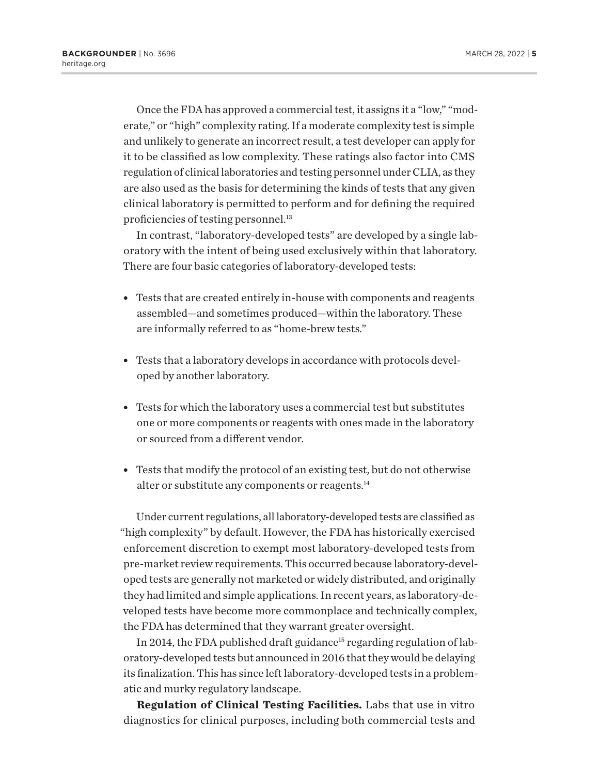<span id="page-4-0"></span>Once the FDA has approved a commercial test, it assigns it a "low," "moderate," or "high" complexity rating. If a moderate complexity test is simple and unlikely to generate an incorrect result, a test developer can apply for it to be classified as low complexity. These ratings also factor into CMS regulation of clinical laboratories and testing personnel under CLIA, as they are also used as the basis for determining the kinds of tests that any given clinical laboratory is permitted to perform and for defining the required proficiencies of testing personnel.<sup>13</sup>

In contrast, "laboratory-developed tests" are developed by a single laboratory with the intent of being used exclusively within that laboratory. There are four basic categories of laboratory-developed tests:

- Tests that are created entirely in-house with components and reagents assembled—and sometimes produced—within the laboratory. These are informally referred to as "home-brew tests."
- Tests that a laboratory develops in accordance with protocols developed by another laboratory.
- Tests for which the laboratory uses a commercial test but substitutes one or more components or reagents with ones made in the laboratory or sourced from a different vendor.
- Tests that modify the protocol of an existing test, but do not otherwise alter or substitute any components or reagents.<sup>[14](#page-21-0)</sup>

Under current regulations, all laboratory-developed tests are classified as "high complexity" by default. However, the FDA has historically exercised enforcement discretion to exempt most laboratory-developed tests from pre-market review requirements. This occurred because laboratory-developed tests are generally not marketed or widely distributed, and originally they had limited and simple applications. In recent years, as laboratory-developed tests have become more commonplace and technically complex, the FDA has determined that they warrant greater oversight.

In 2014, the FDA published draft guidance<sup>15</sup> regarding regulation of laboratory-developed tests but announced in 2016 that they would be delaying its finalization. This has since left laboratory-developed tests in a problematic and murky regulatory landscape.

**Regulation of Clinical Testing Facilities.** Labs that use in vitro diagnostics for clinical purposes, including both commercial tests and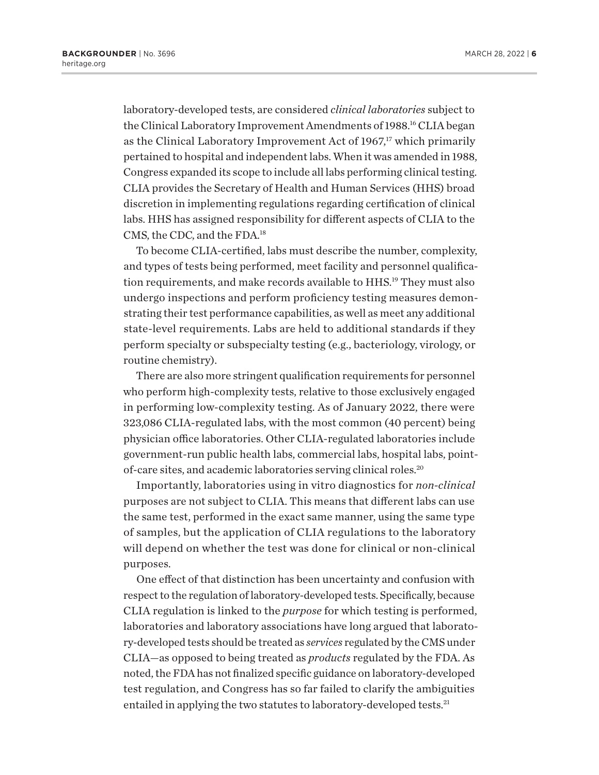<span id="page-5-0"></span>laboratory-developed tests, are considered *clinical laboratories* subject to the Clinical Laboratory Improvement Amendments of 1988.<sup>16</sup> CLIA began as the Clinical Laboratory Improvement Act of  $1967$ ,<sup>[17](#page-21-0)</sup> which primarily pertained to hospital and independent labs. When it was amended in 1988, Congress expanded its scope to include all labs performing clinical testing. CLIA provides the Secretary of Health and Human Services (HHS) broad discretion in implementing regulations regarding certification of clinical labs. HHS has assigned responsibility for different aspects of CLIA to the CMS, the CDC, and the FDA.[18](#page-21-0)

To become CLIA-certified, labs must describe the number, complexity, and types of tests being performed, meet facility and personnel qualifica-tion requirements, and make records available to HHS.<sup>[19](#page-21-0)</sup> They must also undergo inspections and perform proficiency testing measures demonstrating their test performance capabilities, as well as meet any additional state-level requirements. Labs are held to additional standards if they perform specialty or subspecialty testing (e.g., bacteriology, virology, or routine chemistry).

There are also more stringent qualification requirements for personnel who perform high-complexity tests, relative to those exclusively engaged in performing low-complexity testing. As of January 2022, there were 323,086 CLIA-regulated labs, with the most common (40 percent) being physician office laboratories. Other CLIA-regulated laboratories include government-run public health labs, commercial labs, hospital labs, pointof-care sites, and academic laboratories serving clinical roles.[20](#page-21-0)

Importantly, laboratories using in vitro diagnostics for *non-clinical*  purposes are not subject to CLIA. This means that different labs can use the same test, performed in the exact same manner, using the same type of samples, but the application of CLIA regulations to the laboratory will depend on whether the test was done for clinical or non-clinical purposes.

One effect of that distinction has been uncertainty and confusion with respect to the regulation of laboratory-developed tests. Specifically, because CLIA regulation is linked to the *purpose* for which testing is performed, laboratories and laboratory associations have long argued that laboratory-developed tests should be treated as *services* regulated by the CMS under CLIA—as opposed to being treated as *products* regulated by the FDA. As noted, the FDA has not finalized specific guidance on laboratory-developed test regulation, and Congress has so far failed to clarify the ambiguities entailed in applying the two statutes to laboratory-developed tests.<sup>21</sup>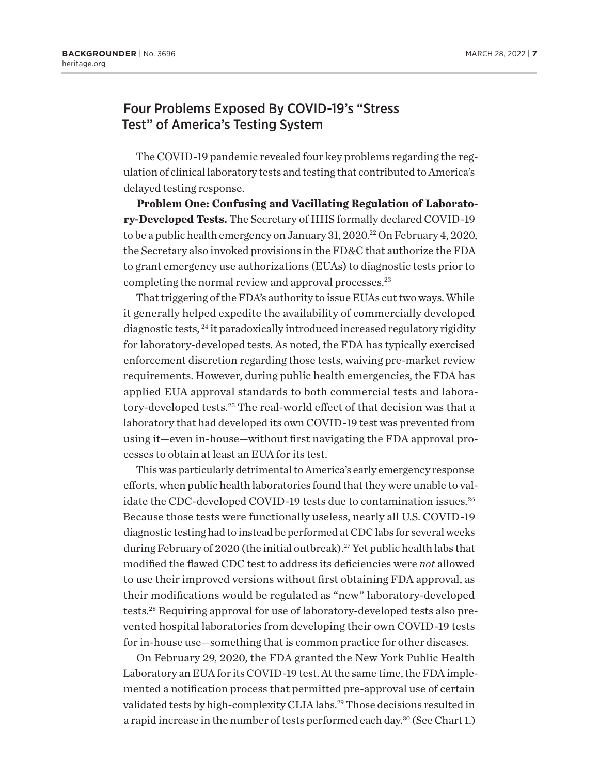### <span id="page-6-0"></span>Four Problems Exposed By COVID-19's "Stress Test" of America's Testing System

The COVID-19 pandemic revealed four key problems regarding the regulation of clinical laboratory tests and testing that contributed to America's delayed testing response.

**Problem One: Confusing and Vacillating Regulation of Laboratory-Developed Tests.** The Secretary of HHS formally declared COVID-19 to be a public health emergency on January 31,  $2020$ <sup>22</sup> On February 4, 2020, the Secretary also invoked provisions in the FD&C that authorize the FDA to grant emergency use authorizations (EUAs) to diagnostic tests prior to completing the normal review and approval processes.<sup>[23](#page-22-0)</sup>

That triggering of the FDA's authority to issue EUAs cut two ways. While it generally helped expedite the availability of commercially developed diagnostic tests, [24](#page-22-0) it paradoxically introduced increased regulatory rigidity for laboratory-developed tests. As noted, the FDA has typically exercised enforcement discretion regarding those tests, waiving pre-market review requirements. However, during public health emergencies, the FDA has applied EUA approval standards to both commercial tests and laboratory-developed tests.[25](#page-22-0) The real-world effect of that decision was that a laboratory that had developed its own COVID-19 test was prevented from using it—even in-house—without first navigating the FDA approval processes to obtain at least an EUA for its test.

This was particularly detrimental to America's early emergency response efforts, when public health laboratories found that they were unable to validate the CDC-developed COVID-19 tests due to contamination issues.<sup>26</sup> Because those tests were functionally useless, nearly all U.S. COVID-19 diagnostic testing had to instead be performed at CDC labs for several weeks during February of 2020 (the initial outbreak).<sup>27</sup> Yet public health labs that modified the flawed CDC test to address its deficiencies were *not* allowed to use their improved versions without first obtaining FDA approval, as their modifications would be regulated as "new" laboratory-developed tests[.28](#page-22-0) Requiring approval for use of laboratory-developed tests also prevented hospital laboratories from developing their own COVID-19 tests for in-house use—something that is common practice for other diseases.

On February 29, 2020, the FDA granted the New York Public Health Laboratory an EUA for its COVID-19 test. At the same time, the FDA implemented a notification process that permitted pre-approval use of certain validated tests by high-complexity CLIA labs.<sup>29</sup> Those decisions resulted in a rapid increase in the number of tests performed each day.<sup>[30](#page-22-0)</sup> (See Chart 1.)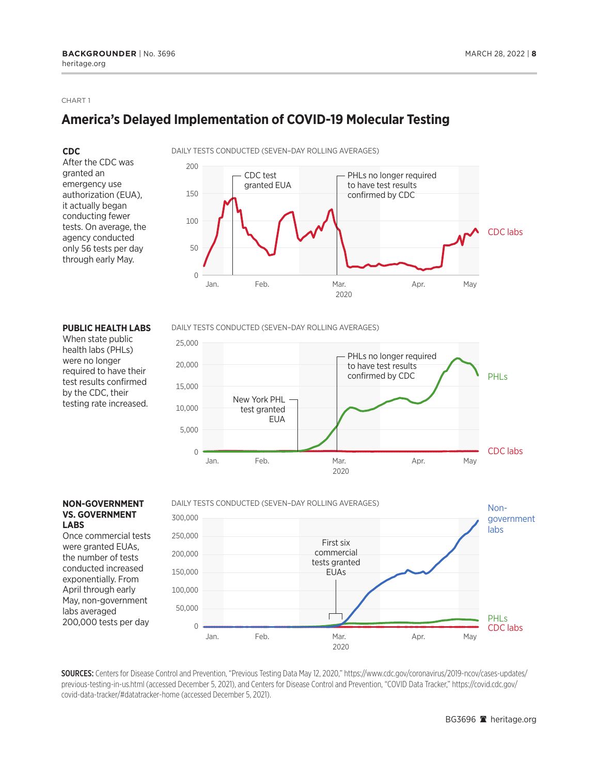#### CHART 1

# **America's Delayed Implementation of COVID-19 Molecular Testing**

#### **CDC**

After the CDC was granted an emergency use authorization (EUA), it actually began conducting fewer tests. On average, the agency conducted only 56 tests per day through early May.





#### **PUBLIC HEALTH LABS**

When state public health labs (PHLs) were no longer required to have their test results confirmed by the CDC, their testing rate increased.

#### DAILY TESTS CONDUCTED (SEVEN–DAY ROLLING AVERAGES)



#### **NON-GOVERNMENT VS. GOVERNMENT LABS**

Once commercial tests were granted EUAs, the number of tests conducted increased exponentially. From April through early May, non-government labs averaged 200,000 tests per day



SOURCES: Centers for Disease Control and Prevention, "Previous Testing Data May 12, 2020," https://www.cdc.gov/coronavirus/2019-ncov/cases-updates/ previous-testing-in-us.html (accessed December 5, 2021), and Centers for Disease Control and Prevention, "COVID Data Tracker," https://covid.cdc.gov/ covid-data-tracker/#datatracker-home (accessed December 5, 2021).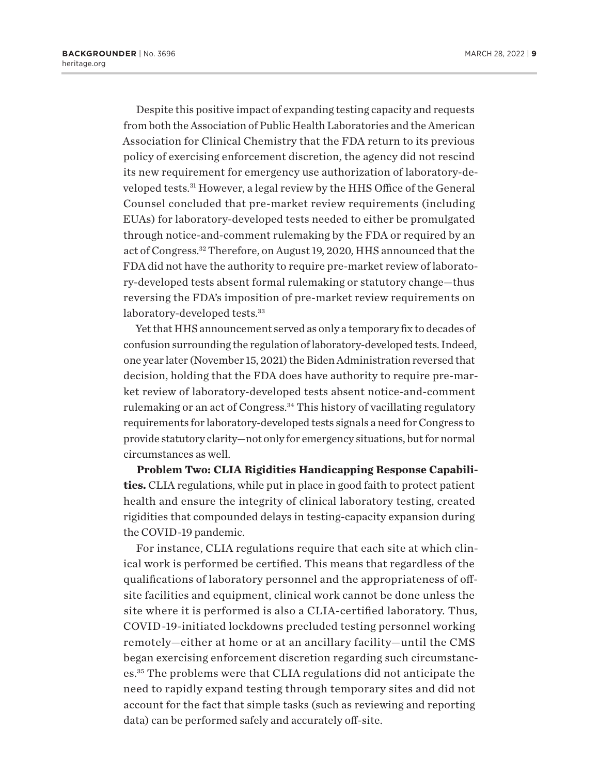<span id="page-8-0"></span>Despite this positive impact of expanding testing capacity and requests from both the Association of Public Health Laboratories and the American Association for Clinical Chemistry that the FDA return to its previous policy of exercising enforcement discretion, the agency did not rescind its new requirement for emergency use authorization of laboratory-developed tests.[31](#page-22-0) However, a legal review by the HHS Office of the General Counsel concluded that pre-market review requirements (including EUAs) for laboratory-developed tests needed to either be promulgated through notice-and-comment rulemaking by the FDA or required by an act of Congress.[32](#page-22-0) Therefore, on August 19, 2020, HHS announced that the FDA did not have the authority to require pre-market review of laboratory-developed tests absent formal rulemaking or statutory change—thus reversing the FDA's imposition of pre-market review requirements on laboratory-developed tests.<sup>[33](#page-22-0)</sup>

Yet that HHS announcement served as only a temporary fix to decades of confusion surrounding the regulation of laboratory-developed tests. Indeed, one year later (November 15, 2021) the Biden Administration reversed that decision, holding that the FDA does have authority to require pre-market review of laboratory-developed tests absent notice-and-comment rulemaking or an act of Congress.<sup>34</sup> This history of vacillating regulatory requirements for laboratory-developed tests signals a need for Congress to provide statutory clarity—not only for emergency situations, but for normal circumstances as well.

**Problem Two: CLIA Rigidities Handicapping Response Capabilities.** CLIA regulations, while put in place in good faith to protect patient health and ensure the integrity of clinical laboratory testing, created rigidities that compounded delays in testing-capacity expansion during the COVID-19 pandemic.

For instance, CLIA regulations require that each site at which clinical work is performed be certified. This means that regardless of the qualifications of laboratory personnel and the appropriateness of offsite facilities and equipment, clinical work cannot be done unless the site where it is performed is also a CLIA-certified laboratory. Thus, COVID-19-initiated lockdowns precluded testing personnel working remotely—either at home or at an ancillary facility—until the CMS began exercising enforcement discretion regarding such circumstances.[35](#page-22-0) The problems were that CLIA regulations did not anticipate the need to rapidly expand testing through temporary sites and did not account for the fact that simple tasks (such as reviewing and reporting data) can be performed safely and accurately off-site.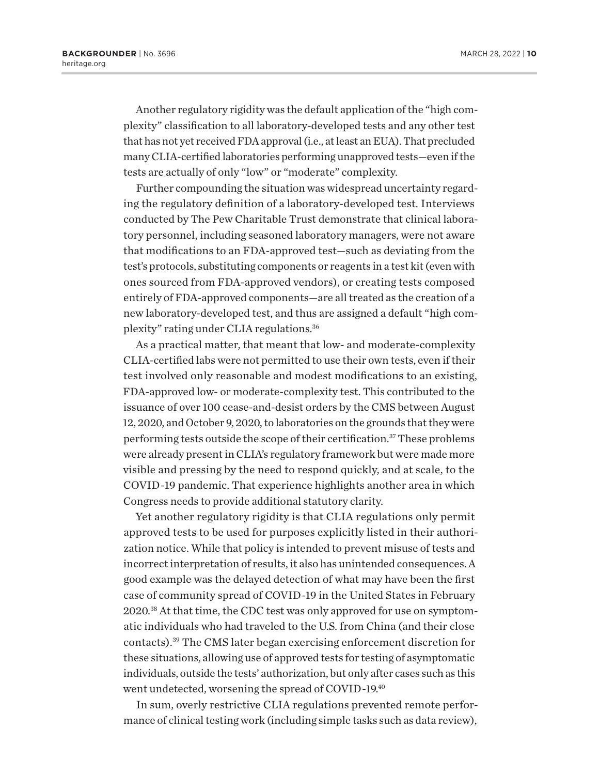<span id="page-9-0"></span>Another regulatory rigidity was the default application of the "high complexity" classification to all laboratory-developed tests and any other test that has not yet received FDA approval (i.e., at least an EUA). That precluded many CLIA-certified laboratories performing unapproved tests—even if the tests are actually of only "low" or "moderate" complexity.

Further compounding the situation was widespread uncertainty regarding the regulatory definition of a laboratory-developed test. Interviews conducted by The Pew Charitable Trust demonstrate that clinical laboratory personnel, including seasoned laboratory managers, were not aware that modifications to an FDA-approved test—such as deviating from the test's protocols, substituting components or reagents in a test kit (even with ones sourced from FDA-approved vendors), or creating tests composed entirely of FDA-approved components—are all treated as the creation of a new laboratory-developed test, and thus are assigned a default "high complexity" rating under CLIA regulations[.36](#page-22-0)

As a practical matter, that meant that low- and moderate-complexity CLIA-certified labs were not permitted to use their own tests, even if their test involved only reasonable and modest modifications to an existing, FDA-approved low- or moderate-complexity test. This contributed to the issuance of over 100 cease-and-desist orders by the CMS between August 12, 2020, and October 9, 2020, to laboratories on the grounds that they were performing tests outside the scope of their certification[.37](#page-22-0) These problems were already present in CLIA's regulatory framework but were made more visible and pressing by the need to respond quickly, and at scale, to the COVID-19 pandemic. That experience highlights another area in which Congress needs to provide additional statutory clarity.

Yet another regulatory rigidity is that CLIA regulations only permit approved tests to be used for purposes explicitly listed in their authorization notice. While that policy is intended to prevent misuse of tests and incorrect interpretation of results, it also has unintended consequences. A good example was the delayed detection of what may have been the first case of community spread of COVID-19 in the United States in February 2020.[38](#page-22-0) At that time, the CDC test was only approved for use on symptomatic individuals who had traveled to the U.S. from China (and their close contacts)[.39](#page-22-0) The CMS later began exercising enforcement discretion for these situations, allowing use of approved tests for testing of asymptomatic individuals, outside the tests' authorization, but only after cases such as this went undetected, worsening the spread of COVID-19[.40](#page-22-0)

In sum, overly restrictive CLIA regulations prevented remote performance of clinical testing work (including simple tasks such as data review),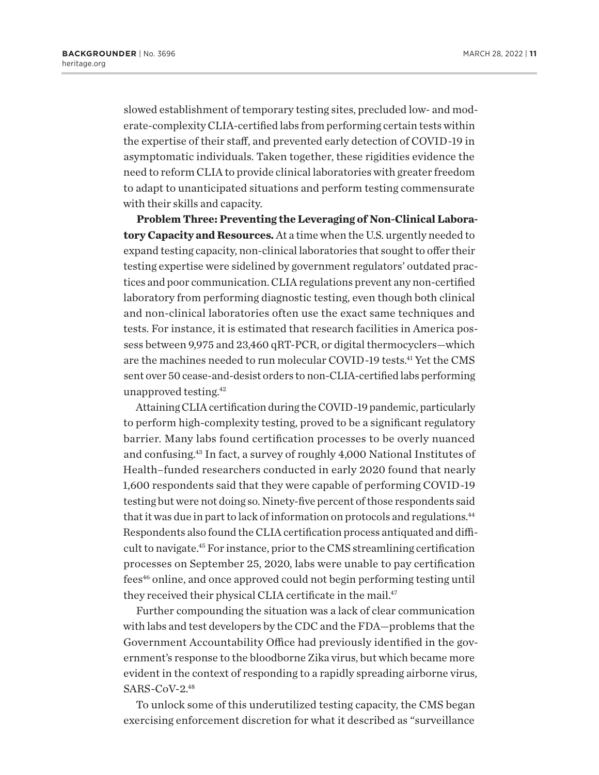<span id="page-10-0"></span>slowed establishment of temporary testing sites, precluded low- and moderate-complexity CLIA-certified labs from performing certain tests within the expertise of their staff, and prevented early detection of COVID-19 in asymptomatic individuals. Taken together, these rigidities evidence the need to reform CLIA to provide clinical laboratories with greater freedom to adapt to unanticipated situations and perform testing commensurate with their skills and capacity.

**Problem Three: Preventing the Leveraging of Non-Clinical Laboratory Capacity and Resources.** At a time when the U.S. urgently needed to expand testing capacity, non-clinical laboratories that sought to offer their testing expertise were sidelined by government regulators' outdated practices and poor communication. CLIA regulations prevent any non-certified laboratory from performing diagnostic testing, even though both clinical and non-clinical laboratories often use the exact same techniques and tests. For instance, it is estimated that research facilities in America possess between 9,975 and 23,460 qRT-PCR, or digital thermocyclers—which are the machines needed to run molecular COVID-19 tests.<sup>41</sup> Yet the CMS sent over 50 cease-and-desist orders to non-CLIA-certified labs performing unapproved testing[.42](#page-23-0)

Attaining CLIA certification during the COVID-19 pandemic, particularly to perform high-complexity testing, proved to be a significant regulatory barrier. Many labs found certification processes to be overly nuanced and confusing[.43](#page-23-0) In fact, a survey of roughly 4,000 National Institutes of Health–funded researchers conducted in early 2020 found that nearly 1,600 respondents said that they were capable of performing COVID-19 testing but were not doing so. Ninety-five percent of those respondents said that it was due in part to lack of information on protocols and regulations.<sup>44</sup> Respondents also found the CLIA certification process antiquated and difficult to navigate[.45](#page-23-0) For instance, prior to the CMS streamlining certification processes on September 25, 2020, labs were unable to pay certification fees<sup>[46](#page-23-0)</sup> online, and once approved could not begin performing testing until they received their physical CLIA certificate in the mail.<sup>47</sup>

Further compounding the situation was a lack of clear communication with labs and test developers by the CDC and the FDA—problems that the Government Accountability Office had previously identified in the government's response to the bloodborne Zika virus, but which became more evident in the context of responding to a rapidly spreading airborne virus, SARS-CoV-2[.48](#page-23-0)

To unlock some of this underutilized testing capacity, the CMS began exercising enforcement discretion for what it described as "surveillance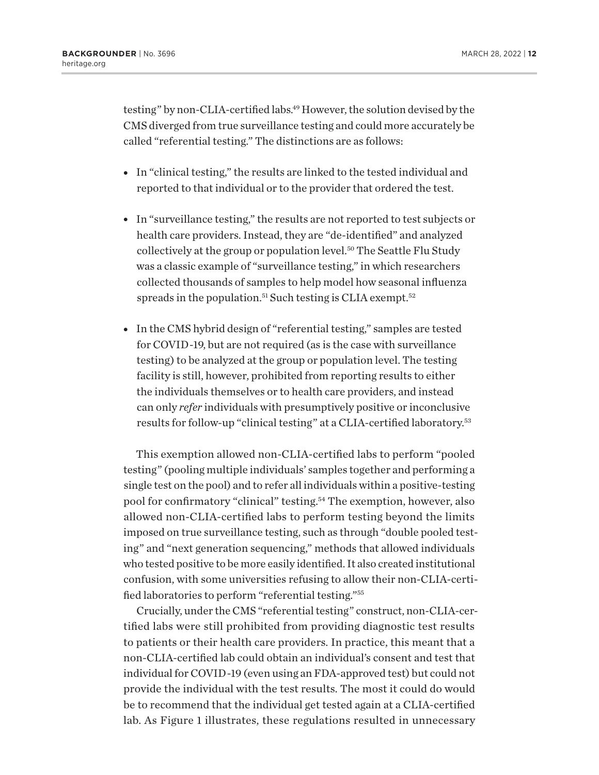<span id="page-11-0"></span>testing" by non-CLIA-certified labs.<sup>49</sup> However, the solution devised by the CMS diverged from true surveillance testing and could more accurately be called "referential testing." The distinctions are as follows:

- In "clinical testing," the results are linked to the tested individual and reported to that individual or to the provider that ordered the test.
- In "surveillance testing," the results are not reported to test subjects or health care providers. Instead, they are "de-identified" and analyzed collectively at the group or population level.[50](#page-23-0) The Seattle Flu Study was a classic example of "surveillance testing," in which researchers collected thousands of samples to help model how seasonal influenza spreads in the population.<sup>[51](#page-23-0)</sup> Such testing is CLIA exempt.<sup>[52](#page-23-0)</sup>
- In the CMS hybrid design of "referential testing," samples are tested for COVID-19, but are not required (as is the case with surveillance testing) to be analyzed at the group or population level. The testing facility is still, however, prohibited from reporting results to either the individuals themselves or to health care providers, and instead can only *refer* individuals with presumptively positive or inconclusive results for follow-up "clinical testing" at a CLIA-certified laboratory.[53](#page-23-0)

This exemption allowed non-CLIA-certified labs to perform "pooled testing" (pooling multiple individuals' samples together and performing a single test on the pool) and to refer all individuals within a positive-testing pool for confirmatory "clinical" testing[.54](#page-23-0) The exemption, however, also allowed non-CLIA-certified labs to perform testing beyond the limits imposed on true surveillance testing, such as through "double pooled testing" and "next generation sequencing," methods that allowed individuals who tested positive to be more easily identified. It also created institutional confusion, with some universities refusing to allow their non-CLIA-certified laboratories to perform "referential testing.["55](#page-23-0)

Crucially, under the CMS "referential testing" construct, non-CLIA-certified labs were still prohibited from providing diagnostic test results to patients or their health care providers. In practice, this meant that a non-CLIA-certified lab could obtain an individual's consent and test that individual for COVID-19 (even using an FDA-approved test) but could not provide the individual with the test results. The most it could do would be to recommend that the individual get tested again at a CLIA-certified lab. As Figure 1 illustrates, these regulations resulted in unnecessary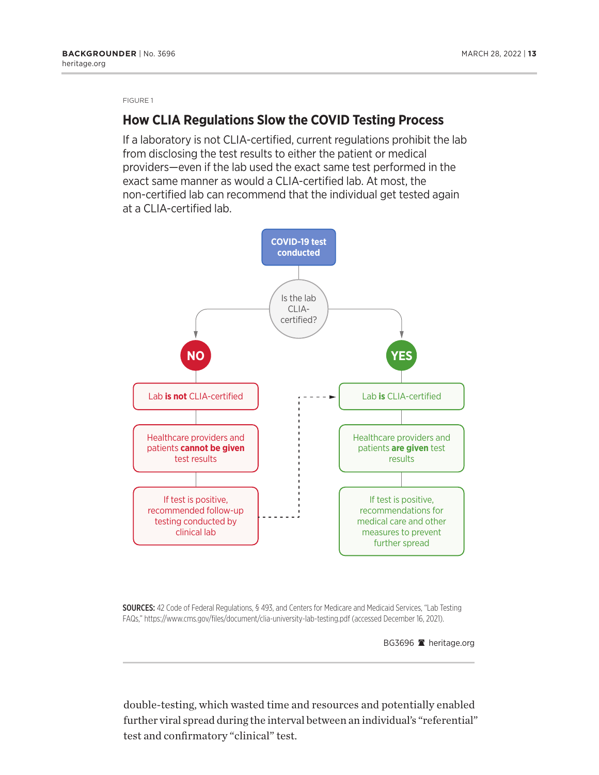FIGURE 1

### **How CLIA Regulations Slow the COVID Testing Process**

If a laboratory is not CLIA-certified, current regulations prohibit the lab from disclosing the test results to either the patient or medical providers—even if the lab used the exact same test performed in the exact same manner as would a CLIA-certified lab. At most, the non-certified lab can recommend that the individual get tested again at a CLIA-certified lab.



SOURCES: 42 Code of Federal Regulations, § 493, and Centers for Medicare and Medicaid Services, "Lab Testing FAQs," https://www.cms.gov/files/document/clia-university-lab-testing.pdf (accessed December 16, 2021).

BG3696 **a** heritage.org

double-testing, which wasted time and resources and potentially enabled further viral spread during the interval between an individual's "referential" test and confirmatory "clinical" test.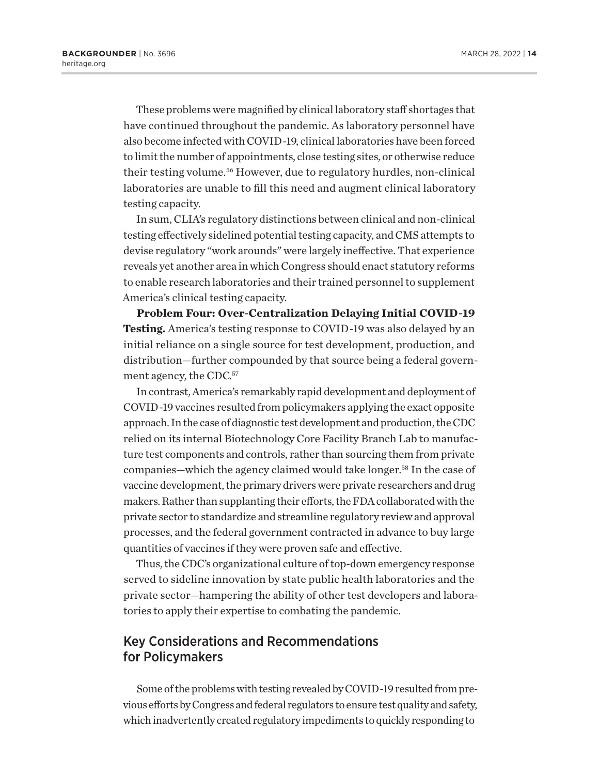<span id="page-13-0"></span>These problems were magnified by clinical laboratory staff shortages that have continued throughout the pandemic. As laboratory personnel have also become infected with COVID-19, clinical laboratories have been forced to limit the number of appointments, close testing sites, or otherwise reduce their testing volume.<sup>56</sup> However, due to regulatory hurdles, non-clinical laboratories are unable to fill this need and augment clinical laboratory testing capacity.

In sum, CLIA's regulatory distinctions between clinical and non-clinical testing effectively sidelined potential testing capacity, and CMS attempts to devise regulatory "work arounds" were largely ineffective. That experience reveals yet another area in which Congress should enact statutory reforms to enable research laboratories and their trained personnel to supplement America's clinical testing capacity.

**Problem Four: Over-Centralization Delaying Initial COVID-19 Testing.** America's testing response to COVID-19 was also delayed by an initial reliance on a single source for test development, production, and distribution—further compounded by that source being a federal government agency, the CDC.<sup>57</sup>

In contrast, America's remarkably rapid development and deployment of COVID-19 vaccines resulted from policymakers applying the exact opposite approach. In the case of diagnostic test development and production, the CDC relied on its internal Biotechnology Core Facility Branch Lab to manufacture test components and controls, rather than sourcing them from private companies—which the agency claimed would take longer[.58](#page-23-0) In the case of vaccine development, the primary drivers were private researchers and drug makers. Rather than supplanting their efforts, the FDA collaborated with the private sector to standardize and streamline regulatory review and approval processes, and the federal government contracted in advance to buy large quantities of vaccines if they were proven safe and effective.

Thus, the CDC's organizational culture of top-down emergency response served to sideline innovation by state public health laboratories and the private sector—hampering the ability of other test developers and laboratories to apply their expertise to combating the pandemic.

### Key Considerations and Recommendations for Policymakers

Some of the problems with testing revealed by COVID-19 resulted from previous efforts by Congress and federal regulators to ensure test quality and safety, which inadvertently created regulatory impediments to quickly responding to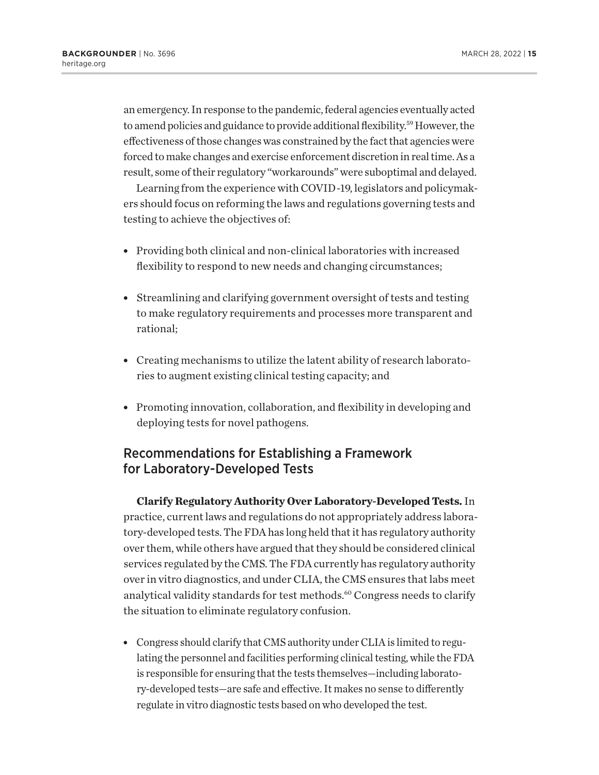<span id="page-14-0"></span>an emergency. In response to the pandemic, federal agencies eventually acted to amend policies and guidance to provide additional flexibility.[59](#page-24-0) However, the effectiveness of those changes was constrained by the fact that agencies were forced to make changes and exercise enforcement discretion in real time. As a result, some of their regulatory "workarounds" were suboptimal and delayed.

Learning from the experience with COVID-19, legislators and policymakers should focus on reforming the laws and regulations governing tests and testing to achieve the objectives of:

- Providing both clinical and non-clinical laboratories with increased flexibility to respond to new needs and changing circumstances;
- Streamlining and clarifying government oversight of tests and testing to make regulatory requirements and processes more transparent and rational;
- Creating mechanisms to utilize the latent ability of research laboratories to augment existing clinical testing capacity; and
- Promoting innovation, collaboration, and flexibility in developing and deploying tests for novel pathogens.

# Recommendations for Establishing a Framework for Laboratory-Developed Tests

**Clarify Regulatory Authority Over Laboratory-Developed Tests.** In practice, current laws and regulations do not appropriately address laboratory-developed tests. The FDA has long held that it has regulatory authority over them, while others have argued that they should be considered clinical services regulated by the CMS. The FDA currently has regulatory authority over in vitro diagnostics, and under CLIA, the CMS ensures that labs meet analytical validity standards for test methods.<sup>60</sup> Congress needs to clarify the situation to eliminate regulatory confusion.

• Congress should clarify that CMS authority under CLIA is limited to regulating the personnel and facilities performing clinical testing, while the FDA is responsible for ensuring that the tests themselves—including laboratory-developed tests—are safe and effective. It makes no sense to differently regulate in vitro diagnostic tests based on who developed the test.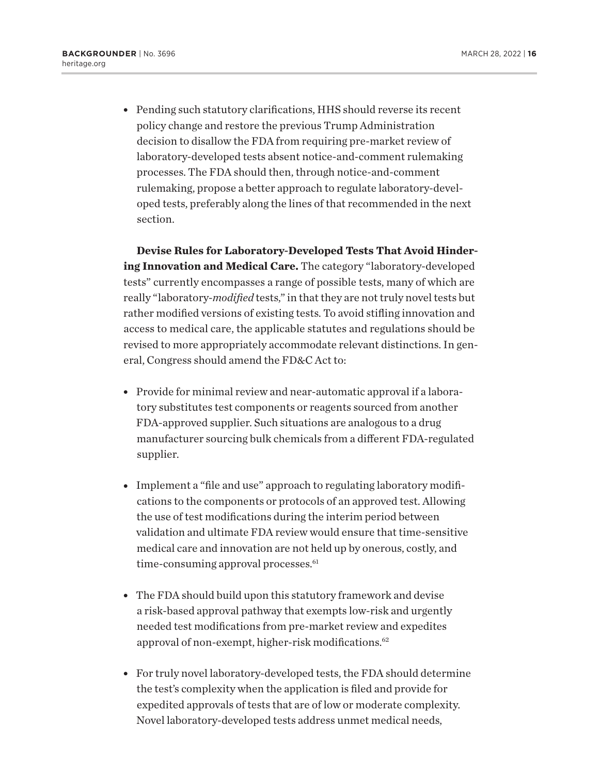<span id="page-15-0"></span>• Pending such statutory clarifications, HHS should reverse its recent policy change and restore the previous Trump Administration decision to disallow the FDA from requiring pre-market review of laboratory-developed tests absent notice-and-comment rulemaking processes. The FDA should then, through notice-and-comment rulemaking, propose a better approach to regulate laboratory-developed tests, preferably along the lines of that recommended in the next section.

**Devise Rules for Laboratory-Developed Tests That Avoid Hindering Innovation and Medical Care.** The category "laboratory-developed tests" currently encompasses a range of possible tests, many of which are really "laboratory-*modified* tests," in that they are not truly novel tests but rather modified versions of existing tests. To avoid stifling innovation and access to medical care, the applicable statutes and regulations should be revised to more appropriately accommodate relevant distinctions. In general, Congress should amend the FD&C Act to:

- Provide for minimal review and near-automatic approval if a laboratory substitutes test components or reagents sourced from another FDA-approved supplier. Such situations are analogous to a drug manufacturer sourcing bulk chemicals from a different FDA-regulated supplier.
- Implement a "file and use" approach to regulating laboratory modifications to the components or protocols of an approved test. Allowing the use of test modifications during the interim period between validation and ultimate FDA review would ensure that time-sensitive medical care and innovation are not held up by onerous, costly, and time-consuming approval processes.<sup>61</sup>
- The FDA should build upon this statutory framework and devise a risk-based approval pathway that exempts low-risk and urgently needed test modifications from pre-market review and expedites approval of non-exempt, higher-risk modifications[.62](#page-24-0)
- For truly novel laboratory-developed tests, the FDA should determine the test's complexity when the application is filed and provide for expedited approvals of tests that are of low or moderate complexity. Novel laboratory-developed tests address unmet medical needs,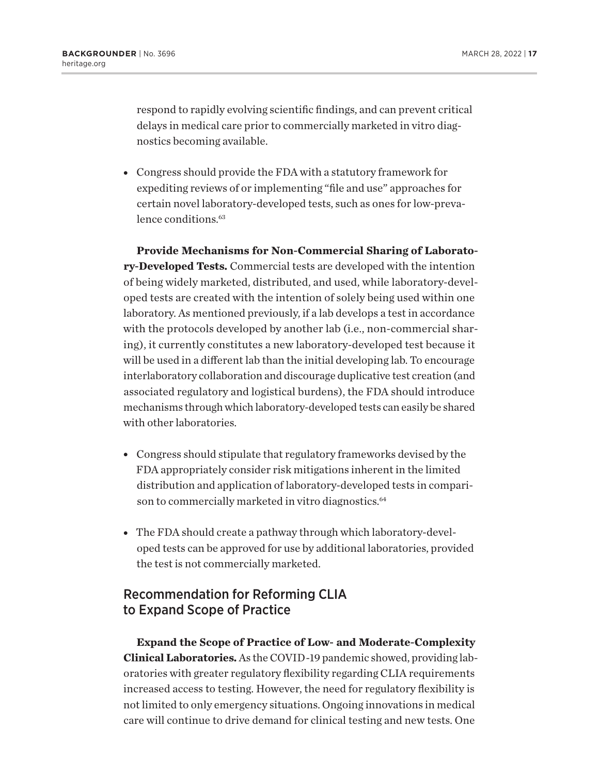<span id="page-16-0"></span>respond to rapidly evolving scientific findings, and can prevent critical delays in medical care prior to commercially marketed in vitro diagnostics becoming available.

• Congress should provide the FDA with a statutory framework for expediting reviews of or implementing "file and use" approaches for certain novel laboratory-developed tests, such as ones for low-prevalence conditions.<sup>63</sup>

**Provide Mechanisms for Non-Commercial Sharing of Laboratory-Developed Tests.** Commercial tests are developed with the intention of being widely marketed, distributed, and used, while laboratory-developed tests are created with the intention of solely being used within one laboratory. As mentioned previously, if a lab develops a test in accordance with the protocols developed by another lab (i.e., non-commercial sharing), it currently constitutes a new laboratory-developed test because it will be used in a different lab than the initial developing lab. To encourage interlaboratory collaboration and discourage duplicative test creation (and associated regulatory and logistical burdens), the FDA should introduce mechanisms through which laboratory-developed tests can easily be shared with other laboratories.

- Congress should stipulate that regulatory frameworks devised by the FDA appropriately consider risk mitigations inherent in the limited distribution and application of laboratory-developed tests in compari-son to commercially marketed in vitro diagnostics.<sup>[64](#page-24-0)</sup>
- The FDA should create a pathway through which laboratory-developed tests can be approved for use by additional laboratories, provided the test is not commercially marketed.

# Recommendation for Reforming CLIA to Expand Scope of Practice

**Expand the Scope of Practice of Low- and Moderate-Complexity Clinical Laboratories.** As the COVID-19 pandemic showed, providing laboratories with greater regulatory flexibility regarding CLIA requirements increased access to testing. However, the need for regulatory flexibility is not limited to only emergency situations. Ongoing innovations in medical care will continue to drive demand for clinical testing and new tests. One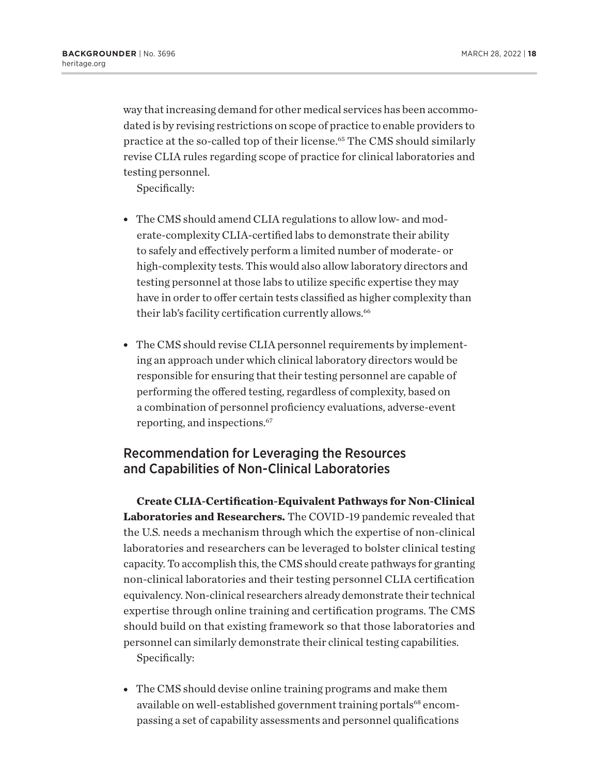<span id="page-17-0"></span>way that increasing demand for other medical services has been accommodated is by revising restrictions on scope of practice to enable providers to practice at the so-called top of their license.<sup>65</sup> The CMS should similarly revise CLIA rules regarding scope of practice for clinical laboratories and testing personnel.

Specifically:

- The CMS should amend CLIA regulations to allow low- and moderate-complexity CLIA-certified labs to demonstrate their ability to safely and effectively perform a limited number of moderate- or high-complexity tests. This would also allow laboratory directors and testing personnel at those labs to utilize specific expertise they may have in order to offer certain tests classified as higher complexity than their lab's facility certification currently allows.<sup>[66](#page-24-0)</sup>
- The CMS should revise CLIA personnel requirements by implementing an approach under which clinical laboratory directors would be responsible for ensuring that their testing personnel are capable of performing the offered testing, regardless of complexity, based on a combination of personnel proficiency evaluations, adverse-event reporting, and inspections.[67](#page-24-0)

# Recommendation for Leveraging the Resources and Capabilities of Non-Clinical Laboratories

**Create CLIA-Certification-Equivalent Pathways for Non-Clinical Laboratories and Researchers.** The COVID-19 pandemic revealed that the U.S. needs a mechanism through which the expertise of non-clinical laboratories and researchers can be leveraged to bolster clinical testing capacity. To accomplish this, the CMS should create pathways for granting non-clinical laboratories and their testing personnel CLIA certification equivalency. Non-clinical researchers already demonstrate their technical expertise through online training and certification programs. The CMS should build on that existing framework so that those laboratories and personnel can similarly demonstrate their clinical testing capabilities. Specifically:

• The CMS should devise online training programs and make them available on well-established government training portals<sup>68</sup> encompassing a set of capability assessments and personnel qualifications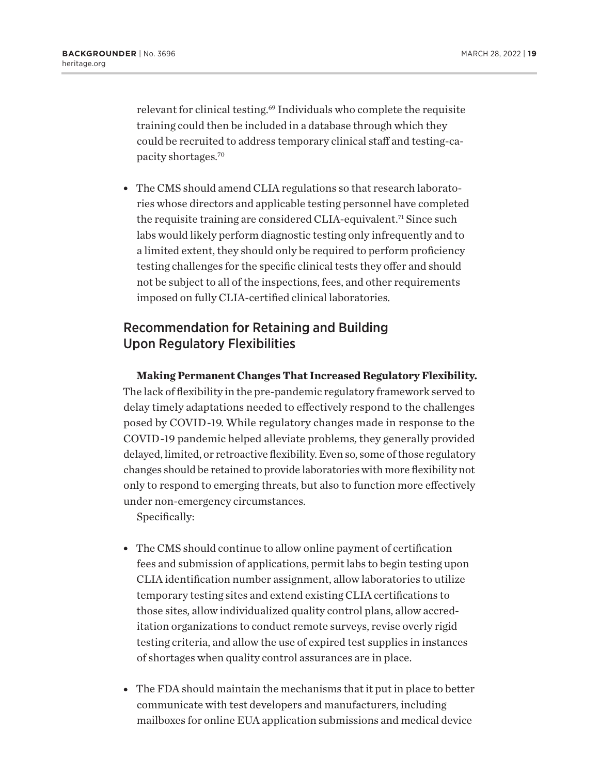<span id="page-18-0"></span>relevant for clinical testing[.69](#page-24-0) Individuals who complete the requisite training could then be included in a database through which they could be recruited to address temporary clinical staff and testing-capacity shortages[.70](#page-24-0)

• The CMS should amend CLIA regulations so that research laboratories whose directors and applicable testing personnel have completed the requisite training are considered CLIA-equivalent.<sup>[71](#page-24-0)</sup> Since such labs would likely perform diagnostic testing only infrequently and to a limited extent, they should only be required to perform proficiency testing challenges for the specific clinical tests they offer and should not be subject to all of the inspections, fees, and other requirements imposed on fully CLIA-certified clinical laboratories.

# Recommendation for Retaining and Building Upon Regulatory Flexibilities

**Making Permanent Changes That Increased Regulatory Flexibility.** The lack of flexibility in the pre-pandemic regulatory framework served to delay timely adaptations needed to effectively respond to the challenges posed by COVID-19. While regulatory changes made in response to the COVID-19 pandemic helped alleviate problems, they generally provided delayed, limited, or retroactive flexibility. Even so, some of those regulatory changes should be retained to provide laboratories with more flexibility not only to respond to emerging threats, but also to function more effectively under non-emergency circumstances.

Specifically:

- The CMS should continue to allow online payment of certification fees and submission of applications, permit labs to begin testing upon CLIA identification number assignment, allow laboratories to utilize temporary testing sites and extend existing CLIA certifications to those sites, allow individualized quality control plans, allow accreditation organizations to conduct remote surveys, revise overly rigid testing criteria, and allow the use of expired test supplies in instances of shortages when quality control assurances are in place.
- The FDA should maintain the mechanisms that it put in place to better communicate with test developers and manufacturers, including mailboxes for online EUA application submissions and medical device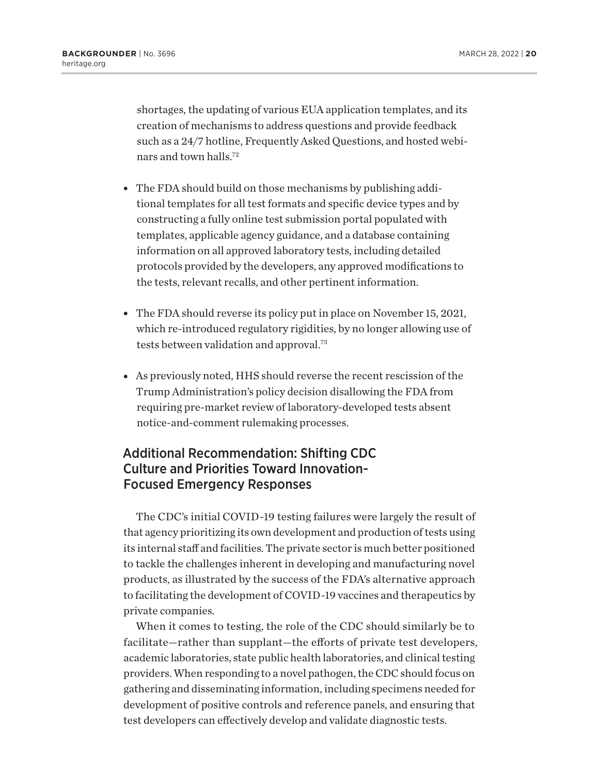<span id="page-19-0"></span>shortages, the updating of various EUA application templates, and its creation of mechanisms to address questions and provide feedback such as a 24/7 hotline, Frequently Asked Questions, and hosted webinars and town halls[.72](#page-24-0)

- The FDA should build on those mechanisms by publishing additional templates for all test formats and specific device types and by constructing a fully online test submission portal populated with templates, applicable agency guidance, and a database containing information on all approved laboratory tests, including detailed protocols provided by the developers, any approved modifications to the tests, relevant recalls, and other pertinent information.
- The FDA should reverse its policy put in place on November 15, 2021, which re-introduced regulatory rigidities, by no longer allowing use of tests between validation and approval.[73](#page-24-0)
- As previously noted, HHS should reverse the recent rescission of the Trump Administration's policy decision disallowing the FDA from requiring pre-market review of laboratory-developed tests absent notice-and-comment rulemaking processes.

# Additional Recommendation: Shifting CDC Culture and Priorities Toward Innovation-Focused Emergency Responses

The CDC's initial COVID-19 testing failures were largely the result of that agency prioritizing its own development and production of tests using its internal staff and facilities. The private sector is much better positioned to tackle the challenges inherent in developing and manufacturing novel products, as illustrated by the success of the FDA's alternative approach to facilitating the development of COVID-19 vaccines and therapeutics by private companies.

When it comes to testing, the role of the CDC should similarly be to facilitate—rather than supplant—the efforts of private test developers, academic laboratories, state public health laboratories, and clinical testing providers. When responding to a novel pathogen, the CDC should focus on gathering and disseminating information, including specimens needed for development of positive controls and reference panels, and ensuring that test developers can effectively develop and validate diagnostic tests.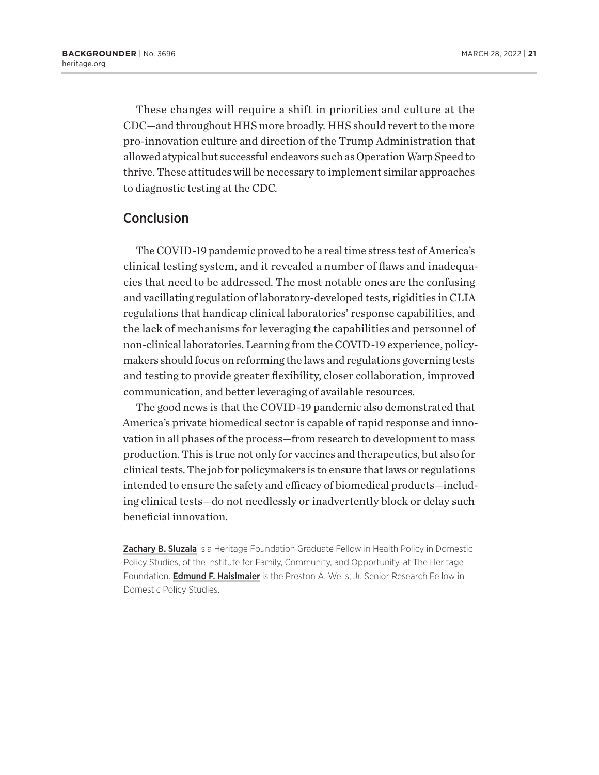These changes will require a shift in priorities and culture at the CDC—and throughout HHS more broadly. HHS should revert to the more pro-innovation culture and direction of the Trump Administration that allowed atypical but successful endeavors such as Operation Warp Speed to thrive. These attitudes will be necessary to implement similar approaches to diagnostic testing at the CDC.

### Conclusion

The COVID-19 pandemic proved to be a real time stress test of America's clinical testing system, and it revealed a number of flaws and inadequacies that need to be addressed. The most notable ones are the confusing and vacillating regulation of laboratory-developed tests, rigidities in CLIA regulations that handicap clinical laboratories' response capabilities, and the lack of mechanisms for leveraging the capabilities and personnel of non-clinical laboratories. Learning from the COVID-19 experience, policymakers should focus on reforming the laws and regulations governing tests and testing to provide greater flexibility, closer collaboration, improved communication, and better leveraging of available resources.

The good news is that the COVID-19 pandemic also demonstrated that America's private biomedical sector is capable of rapid response and innovation in all phases of the process—from research to development to mass production. This is true not only for vaccines and therapeutics, but also for clinical tests. The job for policymakers is to ensure that laws or regulations intended to ensure the safety and efficacy of biomedical products—including clinical tests—do not needlessly or inadvertently block or delay such beneficial innovation.

Zachary B. Sluzala is a Heritage Foundation Graduate Fellow in Health Policy in Domestic Policy Studies, of the Institute for Family, Community, and Opportunity, at The Heritage Foundation. Edmund F. Haislmaier is the Preston A. Wells, Jr. Senior Research Fellow in Domestic Policy Studies.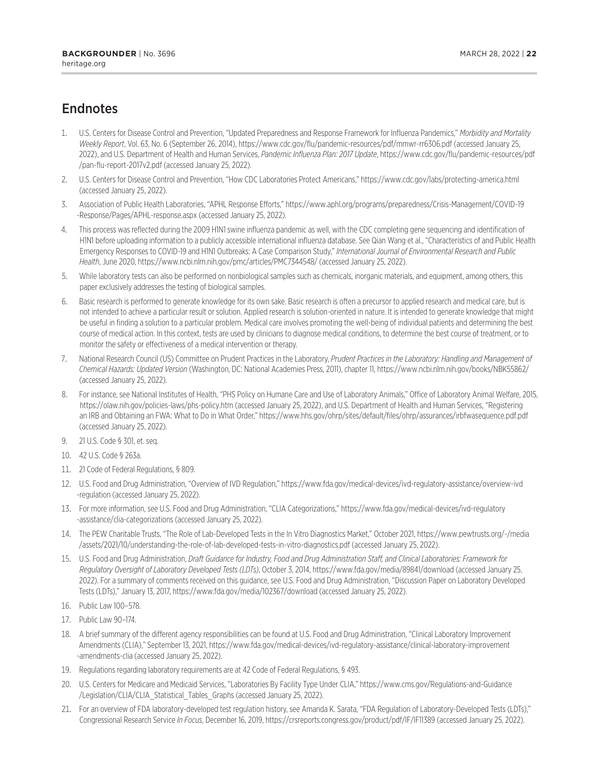# <span id="page-21-0"></span>**Endnotes**

- [1.](#page-0-0) U.S. Centers for Disease Control and Prevention, "Updated Preparedness and Response Framework for Influenza Pandemics," *Morbidity and Mortality Weekly Report*, Vol. 63, No. 6 (September 26, 2014), https://www.cdc.gov/flu/pandemic-resources/pdf/mmwr-rr6306.pdf (accessed January 25, 2022), and U.S. Department of Health and Human Services, *Pandemic Influenza Plan: 2017 Update*, https://www.cdc.gov/flu/pandemic-resources/pdf /pan-flu-report-2017v2.pdf (accessed January 25, 2022).
- [2](#page-0-0). U.S. Centers for Disease Control and Prevention, "How CDC Laboratories Protect Americans," https://www.cdc.gov/labs/protecting-america.html (accessed January 25, 2022).
- [3.](#page-0-0) Association of Public Health Laboratories, "APHL Response Efforts," https://www.aphl.org/programs/preparedness/Crisis-Management/COVID-19 -Response/Pages/APHL-response.aspx (accessed January 25, 2022).
- [4.](#page-0-0) This process was reflected during the 2009 H1N1 swine influenza pandemic as well, with the CDC completing gene sequencing and identification of H1N1 before uploading information to a publicly accessible international influenza database. See Qian Wang et al., "Characteristics of and Public Health Emergency Responses to COVID-19 and H1N1 Outbreaks: A Case Comparison Study," *International Journal of Environmental Research and Public Health*, June 2020, https://www.ncbi.nlm.nih.gov/pmc/articles/PMC7344548/ (accessed January 25, 2022).
- [5](#page-1-0). While laboratory tests can also be performed on nonbiological samples such as chemicals, inorganic materials, and equipment, among others, this paper exclusively addresses the testing of biological samples.
- [6](#page-1-0). Basic research is performed to generate knowledge for its own sake. Basic research is often a precursor to applied research and medical care, but is not intended to achieve a particular result or solution. Applied research is solution-oriented in nature. It is intended to generate knowledge that might be useful in finding a solution to a particular problem. Medical care involves promoting the well-being of individual patients and determining the best course of medical action. In this context, tests are used by clinicians to diagnose medical conditions, to determine the best course of treatment, or to monitor the safety or effectiveness of a medical intervention or therapy.
- [7.](#page-3-0) National Research Council (US) Committee on Prudent Practices in the Laboratory, *Prudent Practices in the Laboratory: Handling and Management of Chemical Hazards: Updated Version* (Washington, DC: National Academies Press, 2011), chapter 11, https://www.ncbi.nlm.nih.gov/books/NBK55862/ (accessed January 25, 2022).
- [8](#page-3-0). For instance, see National Institutes of Health, "PHS Policy on Humane Care and Use of Laboratory Animals," Office of Laboratory Animal Welfare, 2015, https://olaw.nih.gov/policies-laws/phs-policy.htm (accessed January 25, 2022), and U.S. Department of Health and Human Services, "Registering an IRB and Obtaining an FWA: What to Do in What Order," https://www.hhs.gov/ohrp/sites/default/files/ohrp/assurances/irbfwasequence.pdf.pdf (accessed January 25, 2022).
- 9. 21 U.S. Code § 301, et. seq.
- 10. 42 U.S. Code § 263a.
- [11.](#page-3-0) 21 Code of Federal Regulations, § 809.
- [12.](#page-3-0) U.S. Food and Drug Administration, "Overview of IVD Regulation," https://www.fda.gov/medical-devices/ivd-regulatory-assistance/overview-ivd -regulation (accessed January 25, 2022).
- [13.](#page-4-0) For more information, see U.S. Food and Drug Administration, "CLIA Categorizations," https://www.fda.gov/medical-devices/ivd-regulatory -assistance/clia-categorizations (accessed January 25, 2022).
- [14.](#page-4-0) The PEW Charitable Trusts, "The Role of Lab-Developed Tests in the In Vitro Diagnostics Market," October 2021, https://www.pewtrusts.org/-/media /assets/2021/10/understanding-the-role-of-lab-developed-tests-in-vitro-diagnostics.pdf (accessed January 25, 2022).
- [15.](#page-4-0) U.S. Food and Drug Administration, *Draft Guidance for Industry, Food and Drug Administration Staff, and Clinical Laboratories: Framework for Regulatory Oversight of Laboratory Developed Tests (LDTs)*, October 3, 2014, https://www.fda.gov/media/89841/download (accessed January 25, 2022). For a summary of comments received on this guidance, see U.S. Food and Drug Administration, "Discussion Paper on Laboratory Developed Tests (LDTs)," January 13, 2017, https://www.fda.gov/media/102367/download (accessed January 25, 2022).
- [16.](#page-5-0) Public Law 100–578.
- [17.](#page-5-0) Public Law 90–174.
- [18.](#page-5-0) A brief summary of the different agency responsibilities can be found at U.S. Food and Drug Administration, "Clinical Laboratory Improvement Amendments (CLIA)," September 13, 2021, https://www.fda.gov/medical-devices/ivd-regulatory-assistance/clinical-laboratory-improvement -amendments-clia (accessed January 25, 2022).
- [19.](#page-5-0) Regulations regarding laboratory requirements are at 42 Code of Federal Regulations, § 493.
- [20](#page-5-0). U.S. Centers for Medicare and Medicaid Services, "Laboratories By Facility Type Under CLIA," https://www.cms.gov/Regulations-and-Guidance /Legislation/CLIA/CLIA\_Statistical\_Tables\_Graphs (accessed January 25, 2022).
- [21](#page-5-0). For an overview of FDA laboratory-developed test regulation history, see Amanda K. Sarata, "FDA Regulation of Laboratory-Developed Tests (LDTs)," Congressional Research Service *In Focus*, December 16, 2019, https://crsreports.congress.gov/product/pdf/IF/IF11389 (accessed January 25, 2022).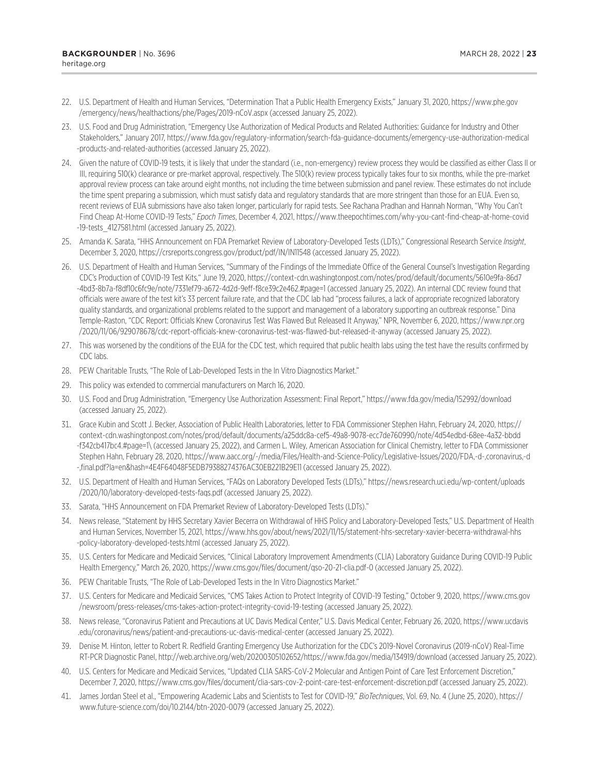- <span id="page-22-0"></span>[22](#page-6-0). U.S. Department of Health and Human Services, "Determination That a Public Health Emergency Exists," January 31, 2020, https://www.phe.gov /emergency/news/healthactions/phe/Pages/2019-nCoV.aspx (accessed January 25, 2022).
- [23](#page-6-0). U.S. Food and Drug Administration, "Emergency Use Authorization of Medical Products and Related Authorities: Guidance for Industry and Other Stakeholders," January 2017, https://www.fda.gov/regulatory-information/search-fda-guidance-documents/emergency-use-authorization-medical -products-and-related-authorities (accessed January 25, 2022).
- [24](#page-6-0). Given the nature of COVID-19 tests, it is likely that under the standard (i.e., non-emergency) review process they would be classified as either Class II or III, requiring 510(k) clearance or pre-market approval, respectively. The 510(k) review process typically takes four to six months, while the pre-market approval review process can take around eight months, not including the time between submission and panel review. These estimates do not include the time spent preparing a submission, which must satisfy data and regulatory standards that are more stringent than those for an EUA. Even so, recent reviews of EUA submissions have also taken longer, particularly for rapid tests. See Rachana Pradhan and Hannah Norman, "Why You Can't Find Cheap At-Home COVID-19 Tests," *Epoch Times*, December 4, 2021, https://www.theepochtimes.com/why-you-cant-find-cheap-at-home-covid -19-tests 4127581.html (accessed January 25, 2022).
- [25](#page-6-0). Amanda K. Sarata, "HHS Announcement on FDA Premarket Review of Laboratory-Developed Tests (LDTs)," Congressional Research Service *Insight*, December 3, 2020, https://crsreports.congress.gov/product/pdf/IN/IN11548 (accessed January 25, 2022).
- [26](#page-6-0). U.S. Department of Health and Human Services, "Summary of the Findings of the Immediate Office of the General Counsel's Investigation Regarding CDC's Production of COVID-19 Test Kits," June 19, 2020, https://context-cdn.washingtonpost.com/notes/prod/default/documents/5610e9fa-86d7 -4bd3-8b7a-f8df10c6fc9e/note/7331ef79-a672-4d2d-9eff-f8ce39c2e462.#page=1 (accessed January 25, 2022). An internal CDC review found that officials were aware of the test kit's 33 percent failure rate, and that the CDC lab had "process failures, a lack of appropriate recognized laboratory quality standards, and organizational problems related to the support and management of a laboratory supporting an outbreak response." Dina Temple-Raston, "CDC Report: Officials Knew Coronavirus Test Was Flawed But Released It Anyway," NPR, November 6, 2020, https://www.npr.org /2020/11/06/929078678/cdc-report-officials-knew-coronavirus-test-was-flawed-but-released-it-anyway (accessed January 25, 2022).
- [27](#page-6-0). This was worsened by the conditions of the EUA for the CDC test, which required that public health labs using the test have the results confirmed by CDC labs.
- [28](#page-6-0). PEW Charitable Trusts, "The Role of Lab-Developed Tests in the In Vitro Diagnostics Market."
- [29](#page-6-0). This policy was extended to commercial manufacturers on March 16, 2020.
- [30.](#page-6-0) U.S. Food and Drug Administration, "Emergency Use Authorization Assessment: Final Report," https://www.fda.gov/media/152992/download (accessed January 25, 2022).
- [31.](#page-8-0) Grace Kubin and Scott J. Becker, Association of Public Health Laboratories, letter to FDA Commissioner Stephen Hahn, February 24, 2020, https:// context-cdn.washingtonpost.com/notes/prod/default/documents/a25ddc8a-cef5-49a8-9078-ecc7de760990/note/4d54edbd-68ee-4a32-bbdd -f342cb417bc4.#page=1\ (accessed January 25, 2022), and Carmen L. Wiley, American Association for Clinical Chemistry, letter to FDA Commissioner Stephen Hahn, February 28, 2020, https://www.aacc.org/-/media/Files/Health-and-Science-Policy/Legislative-Issues/2020/FDA,-d-,coronavirus,-d -,final.pdf?la=en&hash=4E4F64048F5EDB79388274376AC30EB221B29E11 (accessed January 25, 2022).
- [32.](#page-8-0) U.S. Department of Health and Human Services, "FAQs on Laboratory Developed Tests (LDTs)," https://news.research.uci.edu/wp-content/uploads /2020/10/laboratory-developed-tests-faqs.pdf (accessed January 25, 2022).
- [33.](#page-8-0) Sarata, "HHS Announcement on FDA Premarket Review of Laboratory-Developed Tests (LDTs)."
- [34.](#page-8-0) News release, "Statement by HHS Secretary Xavier Becerra on Withdrawal of HHS Policy and Laboratory-Developed Tests," U.S. Department of Health and Human Services, November 15, 2021, https://www.hhs.gov/about/news/2021/11/15/statement-hhs-secretary-xavier-becerra-withdrawal-hhs -policy-laboratory-developed-tests.html (accessed January 25, 2022).
- [35.](#page-8-0) U.S. Centers for Medicare and Medicaid Services, "Clinical Laboratory Improvement Amendments (CLIA) Laboratory Guidance During COVID-19 Public Health Emergency," March 26, 2020, https://www.cms.gov/files/document/qso-20-21-clia.pdf-0 (accessed January 25, 2022).
- [36.](#page-9-0) PEW Charitable Trusts, "The Role of Lab-Developed Tests in the In Vitro Diagnostics Market."
- [37.](#page-9-0) U.S. Centers for Medicare and Medicaid Services, "CMS Takes Action to Protect Integrity of COVID-19 Testing," October 9, 2020, https://www.cms.gov /newsroom/press-releases/cms-takes-action-protect-integrity-covid-19-testing (accessed January 25, 2022).
- [38.](#page-9-0) News release, "Coronavirus Patient and Precautions at UC Davis Medical Center," U.S. Davis Medical Center, February 26, 2020, https://www.ucdavis .edu/coronavirus/news/patient-and-precautions-uc-davis-medical-center (accessed January 25, 2022).
- [39.](#page-9-0) Denise M. Hinton, letter to Robert R. Redfield Granting Emergency Use Authorization for the CDC's 2019-Novel Coronavirus (2019-nCoV) Real-Time RT-PCR Diagnostic Panel, http://web.archive.org/web/20200305102652/https://www.fda.gov/media/134919/download (accessed January 25, 2022).
- [40.](#page-9-0) U.S. Centers for Medicare and Medicaid Services, "Updated CLIA SARS-CoV-2 Molecular and Antigen Point of Care Test Enforcement Discretion," December 7, 2020, https://www.cms.gov/files/document/clia-sars-cov-2-point-care-test-enforcement-discretion.pdf (accessed January 25, 2022).
- [41.](#page-10-0) James Jordan Steel et al., "Empowering Academic Labs and Scientists to Test for COVID-19," *BioTechniques*, Vol. 69, No. 4 (June 25, 2020), https:// www.future-science.com/doi/10.2144/btn-2020-0079 (accessed January 25, 2022).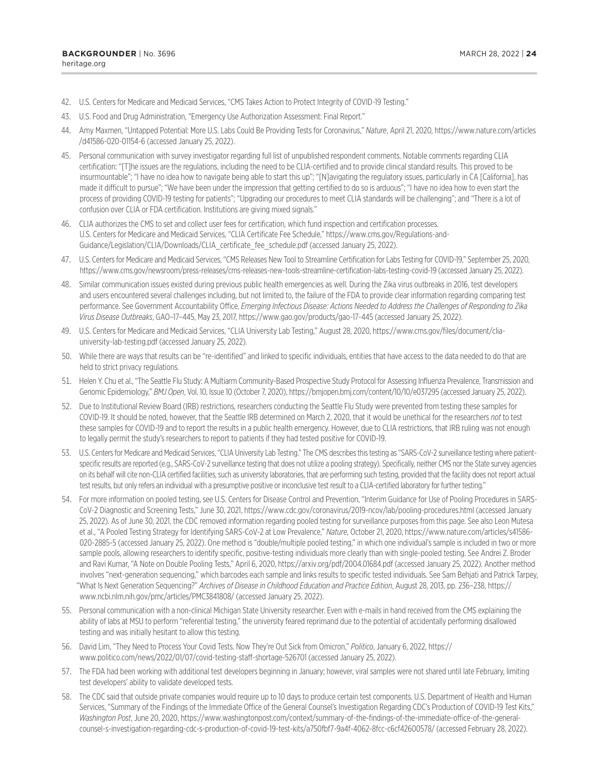- <span id="page-23-0"></span>[42.](#page-10-0) U.S. Centers for Medicare and Medicaid Services, "CMS Takes Action to Protect Integrity of COVID-19 Testing."
- [43.](#page-10-0) U.S. Food and Drug Administration, "Emergency Use Authorization Assessment: Final Report."
- [44.](#page-10-0) Amy Maxmen, "Untapped Potential: More U.S. Labs Could Be Providing Tests for Coronavirus," *Nature*, April 21, 2020, https://www.nature.com/articles /d41586-020-01154-6 (accessed January 25, 2022).
- [45.](#page-10-0) Personal communication with survey investigator regarding full list of unpublished respondent comments. Notable comments regarding CLIA certification: "[T]he issues are the regulations, including the need to be CLIA-certified and to provide clinical standard results. This proved to be insurmountable"; "I have no idea how to navigate being able to start this up"; "[N]avigating the regulatory issues, particularly in CA [California], has made it difficult to pursue"; "We have been under the impression that getting certified to do so is arduous"; "I have no idea how to even start the process of providing COVID-19 testing for patients"; "Upgrading our procedures to meet CLIA standards will be challenging"; and "There is a lot of confusion over CLIA or FDA certification. Institutions are giving mixed signals."
- [46.](#page-10-0) CLIA authorizes the CMS to set and collect user fees for certification, which fund inspection and certification processes. U.S. Centers for Medicare and Medicaid Services, "CLIA Certificate Fee Schedule," https://www.cms.gov/Regulations-and-Guidance/Legislation/CLIA/Downloads/CLIA\_certificate\_fee\_schedule.pdf (accessed January 25, 2022).
- [47.](#page-10-0) U.S. Centers for Medicare and Medicaid Services, "CMS Releases New Tool to Streamline Certification for Labs Testing for COVID-19," September 25, 2020, https://www.cms.gov/newsroom/press-releases/cms-releases-new-tools-streamline-certification-labs-testing-covid-19 (accessed January 25, 2022).
- [48.](#page-10-0) Similar communication issues existed during previous public health emergencies as well. During the Zika virus outbreaks in 2016, test developers and users encountered several challenges including, but not limited to, the failure of the FDA to provide clear information regarding comparing test performance. See Government Accountability Office, *Emerging Infectious Disease: Actions Needed to Address the Challenges of Responding to Zika Virus Disease Outbreaks*, GAO–17–445, May 23, 2017, https://www.gao.gov/products/gao-17-445 (accessed January 25, 2022).
- [49.](#page-11-0) U.S. Centers for Medicare and Medicaid Services, "CLIA University Lab Testing," August 28, 2020, https://www.cms.gov/files/document/cliauniversity-lab-testing.pdf (accessed January 25, 2022).
- [50](#page-11-0). While there are ways that results can be "re-identified" and linked to specific individuals, entities that have access to the data needed to do that are held to strict privacy regulations.
- [51](#page-11-0). Helen Y. Chu et al., "The Seattle Flu Study: A Multiarm Community-Based Prospective Study Protocol for Assessing Influenza Prevalence, Transmission and Genomic Epidemiology," *BMJ Open*, Vol. 10, Issue 10 (October 7, 2020), https://bmjopen.bmj.com/content/10/10/e037295 (accessed January 25, 2022).
- [52](#page-11-0). Due to Institutional Review Board (IRB) restrictions, researchers conducting the Seattle Flu Study were prevented from testing these samples for COVID-19. It should be noted, however, that the Seattle IRB determined on March 2, 2020, that it would be unethical for the researchers *not* to test these samples for COVID-19 and to report the results in a public health emergency. However, due to CLIA restrictions, that IRB ruling was not enough to legally permit the study's researchers to report to patients if they had tested positive for COVID-19.
- [53.](#page-11-0) U.S. Centers for Medicare and Medicaid Services, "CLIA University Lab Testing." The CMS describes this testing as "SARS-CoV-2 surveillance testing where patientspecific results are reported (e.g., SARS-CoV-2 surveillance testing that does not utilize a pooling strategy). Specifically, neither CMS nor the State survey agencies on its behalf will cite non-CLIA certified facilities, such as university laboratories, that are performing such testing, provided that the facility does not report actual test results, but only refers an individual with a presumptive positive or inconclusive test result to a CLIA-certified laboratory for further testing."
- [54](#page-11-0). For more information on pooled testing, see U.S. Centers for Disease Control and Prevention, "Interim Guidance for Use of Pooling Procedures in SARS-CoV-2 Diagnostic and Screening Tests," June 30, 2021, https://www.cdc.gov/coronavirus/2019-ncov/lab/pooling-procedures.html (accessed January 25, 2022). As of June 30, 2021, the CDC removed information regarding pooled testing for surveillance purposes from this page. See also Leon Mutesa et al., "A Pooled Testing Strategy for Identifying SARS-CoV-2 at Low Prevalence," *Nature*, October 21, 2020, https://www.nature.com/articles/s41586- 020-2885-5 (accessed January 25, 2022). One method is "double/multiple pooled testing," in which one individual's sample is included in two or more sample pools, allowing researchers to identify specific, positive-testing individuals more clearly than with single-pooled testing. See Andrei Z. Broder and Ravi Kumar, "A Note on Double Pooling Tests," April 6, 2020, https://arxiv.org/pdf/2004.01684.pdf (accessed January 25, 2022). Another method involves "next-generation sequencing," which barcodes each sample and links results to specific tested individuals. See Sam Behjati and Patrick Tarpey, "What Is Next Generation Sequencing?" *Archives of Disease in Childhood Education and Practice Edition*, August 28, 2013, pp. 236–238, https:// www.ncbi.nlm.nih.gov/pmc/articles/PMC3841808/ (accessed January 25, 2022).
- [55](#page-11-0). Personal communication with a non-clinical Michigan State University researcher. Even with e-mails in hand received from the CMS explaining the ability of labs at MSU to perform "referential testing," the university feared reprimand due to the potential of accidentally performing disallowed testing and was initially hesitant to allow this testing.
- [56](#page-13-0). David Lim, "They Need to Process Your Covid Tests. Now They're Out Sick from Omicron," *Politico*, January 6, 2022, https:// www.politico.com/news/2022/01/07/covid-testing-staff-shortage-526701 (accessed January 25, 2022).
- [57](#page-13-0). The FDA had been working with additional test developers beginning in January; however, viral samples were not shared until late February, limiting test developers' ability to validate developed tests.
- [58](#page-13-0). The CDC said that outside private companies would require up to 10 days to produce certain test components. U.S. Department of Health and Human Services, "Summary of the Findings of the Immediate Office of the General Counsel's Investigation Regarding CDC's Production of COVID-19 Test Kits," *Washington Post*, June 20, 2020, https://www.washingtonpost.com/context/summary-of-the-findings-of-the-immediate-office-of-the-generalcounsel-s-investigation-regarding-cdc-s-production-of-covid-19-test-kits/a750fbf7-9a4f-4062-8fcc-c6cf42600578/ (accessed February 28, 2022).